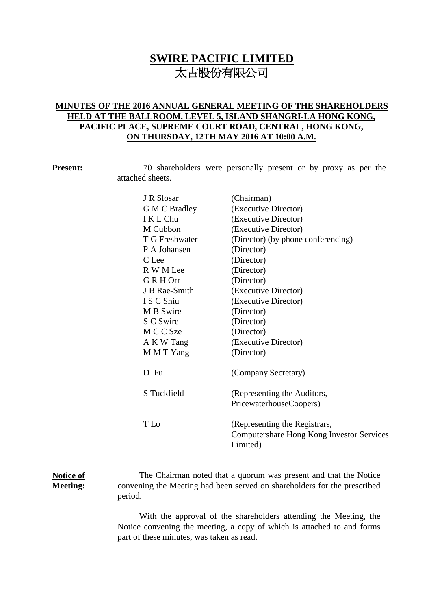# **SWIRE PACIFIC LIMITED** 太古股份有限公司

## **MINUTES OF THE 2016 ANNUAL GENERAL MEETING OF THE SHAREHOLDERS HELD AT THE BALLROOM, LEVEL 5, ISLAND SHANGRI-LA HONG KONG, PACIFIC PLACE, SUPREME COURT ROAD, CENTRAL, HONG KONG, ON THURSDAY, 12TH MAY 2016 AT 10:00 A.M.**

**Present:** 70 shareholders were personally present or by proxy as per the attached sheets.

| J R Slosar     | (Chairman)                                |
|----------------|-------------------------------------------|
| G M C Bradley  | (Executive Director)                      |
| I K L Chu      | (Executive Director)                      |
| M Cubbon       | (Executive Director)                      |
| T G Freshwater | (Director) (by phone conferencing)        |
| P A Johansen   | (Director)                                |
| C Lee          | (Director)                                |
| R W M Lee      | (Director)                                |
| GRH Orr        | (Director)                                |
| J B Rae-Smith  | (Executive Director)                      |
| I S C Shiu     | (Executive Director)                      |
| M B Swire      | (Director)                                |
| S C Swire      | (Director)                                |
| M C C Sze      | (Director)                                |
| A K W Tang     | (Executive Director)                      |
| M M T Yang     | (Director)                                |
|                |                                           |
| D Fu           | (Company Secretary)                       |
|                |                                           |
| S Tuckfield    | (Representing the Auditors,               |
|                | PricewaterhouseCoopers)                   |
| T Lo           | (Representing the Registrars,             |
|                | Computershare Hong Kong Investor Services |
|                | Limited)                                  |
|                |                                           |

### **Notice of Meeting:** The Chairman noted that a quorum was present and that the Notice convening the Meeting had been served on shareholders for the prescribed period.

With the approval of the shareholders attending the Meeting, the Notice convening the meeting, a copy of which is attached to and forms part of these minutes, was taken as read.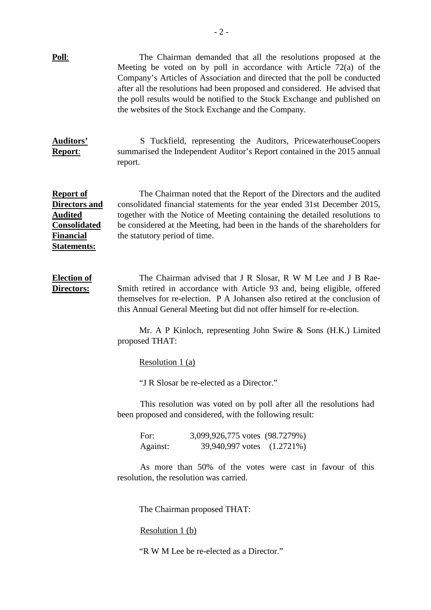| <u>Poll:</u>                                                                                                                | The Chairman demanded that all the resolutions proposed at the<br>Meeting be voted on by poll in accordance with Article $72(a)$ of the<br>Company's Articles of Association and directed that the poll be conducted<br>after all the resolutions had been proposed and considered. He advised that<br>the poll results would be notified to the Stock Exchange and published on<br>the websites of the Stock Exchange and the Company. |  |
|-----------------------------------------------------------------------------------------------------------------------------|-----------------------------------------------------------------------------------------------------------------------------------------------------------------------------------------------------------------------------------------------------------------------------------------------------------------------------------------------------------------------------------------------------------------------------------------|--|
| <b>Auditors'</b><br>Report:                                                                                                 | S Tuckfield, representing the Auditors, PricewaterhouseCoopers<br>summarised the Independent Auditor's Report contained in the 2015 annual<br>report.                                                                                                                                                                                                                                                                                   |  |
| <b>Report of</b><br><b>Directors and</b><br><b>Audited</b><br><b>Consolidated</b><br><u>Financial</u><br><u>Statements:</u> | The Chairman noted that the Report of the Directors and the audited<br>consolidated financial statements for the year ended 31st December 2015,<br>together with the Notice of Meeting containing the detailed resolutions to<br>be considered at the Meeting, had been in the hands of the shareholders for<br>the statutory period of time.                                                                                           |  |
| <b>Election of</b><br>Directors:                                                                                            | The Chairman advised that J R Slosar, R W M Lee and J B Rae-<br>Smith retired in accordance with Article 93 and, being eligible, offered<br>themselves for re-election. P A Johansen also retired at the conclusion of<br>this Annual General Meeting but did not offer himself for re-election.<br>Mr. A P Kinloch, representing John Swire & Sons (H.K.) Limited<br>proposed THAT:                                                    |  |
|                                                                                                                             | Resolution 1 (a)                                                                                                                                                                                                                                                                                                                                                                                                                        |  |
|                                                                                                                             | "J R Slosar be re-elected as a Director."                                                                                                                                                                                                                                                                                                                                                                                               |  |
|                                                                                                                             | This resolution was voted on by poll after all the resolutions had<br>been proposed and considered, with the following result:                                                                                                                                                                                                                                                                                                          |  |
|                                                                                                                             | For:<br>3,099,926,775 votes (98.7279%)<br>39,940,997 votes (1.2721%)<br>Against:                                                                                                                                                                                                                                                                                                                                                        |  |
|                                                                                                                             | As more than 50% of the votes were cast in favour of this<br>resolution, the resolution was carried.                                                                                                                                                                                                                                                                                                                                    |  |
|                                                                                                                             | The Chairman proposed THAT:                                                                                                                                                                                                                                                                                                                                                                                                             |  |
|                                                                                                                             | Resolution 1 (b)                                                                                                                                                                                                                                                                                                                                                                                                                        |  |
|                                                                                                                             | "R W M Lee be re-elected as a Director."                                                                                                                                                                                                                                                                                                                                                                                                |  |
|                                                                                                                             |                                                                                                                                                                                                                                                                                                                                                                                                                                         |  |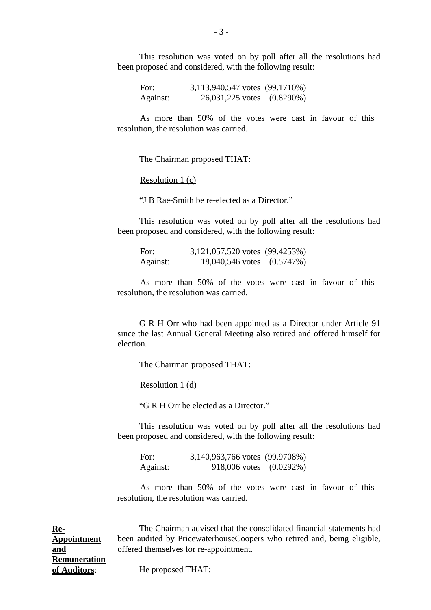This resolution was voted on by poll after all the resolutions had been proposed and considered, with the following result:

For: 3,113,940,547 votes (99.1710%) Against: 26,031,225 votes (0.8290%)

As more than 50% of the votes were cast in favour of this resolution, the resolution was carried.

The Chairman proposed THAT:

Resolution 1 (c)

"J B Rae-Smith be re-elected as a Director."

This resolution was voted on by poll after all the resolutions had been proposed and considered, with the following result:

For: 3,121,057,520 votes (99.4253%) Against: 18,040,546 votes (0.5747%)

As more than 50% of the votes were cast in favour of this resolution, the resolution was carried.

G R H Orr who had been appointed as a Director under Article 91 since the last Annual General Meeting also retired and offered himself for election.

The Chairman proposed THAT:

Resolution 1 (d)

"G R H Orr be elected as a Director."

This resolution was voted on by poll after all the resolutions had been proposed and considered, with the following result:

For: 3,140,963,766 votes (99.9708%) Against: 918,006 votes (0.0292%)

As more than 50% of the votes were cast in favour of this resolution, the resolution was carried.

The Chairman advised that the consolidated financial statements had been audited by PricewaterhouseCoopers who retired and, being eligible, offered themselves for re-appointment.

He proposed THAT:

**Re-Appointment and Remuneration of Auditors**: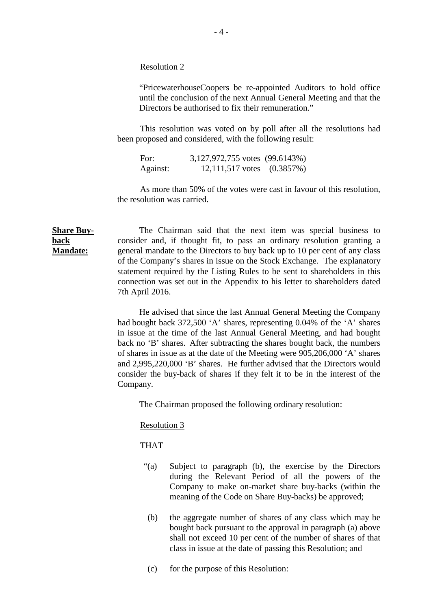Resolution 2

"PricewaterhouseCoopers be re-appointed Auditors to hold office until the conclusion of the next Annual General Meeting and that the Directors be authorised to fix their remuneration."

This resolution was voted on by poll after all the resolutions had been proposed and considered, with the following result:

For: 3,127,972,755 votes (99.6143%) Against: 12,111,517 votes (0.3857%)

As more than 50% of the votes were cast in favour of this resolution, the resolution was carried.

**Share Buy-Mandate:** The Chairman said that the next item was special business to consider and, if thought fit, to pass an ordinary resolution granting a general mandate to the Directors to buy back up to 10 per cent of any class of the Company's shares in issue on the Stock Exchange. The explanatory statement required by the Listing Rules to be sent to shareholders in this connection was set out in the Appendix to his letter to shareholders dated 7th April 2016.

> He advised that since the last Annual General Meeting the Company had bought back 372,500 'A' shares, representing 0.04% of the 'A' shares in issue at the time of the last Annual General Meeting, and had bought back no 'B' shares. After subtracting the shares bought back, the numbers of shares in issue as at the date of the Meeting were 905,206,000 'A' shares and 2,995,220,000 'B' shares. He further advised that the Directors would consider the buy-back of shares if they felt it to be in the interest of the Company.

The Chairman proposed the following ordinary resolution:

Resolution 3

THAT

**back** 

- "(a) Subject to paragraph (b), the exercise by the Directors during the Relevant Period of all the powers of the Company to make on-market share buy-backs (within the meaning of the Code on Share Buy-backs) be approved;
- (b) the aggregate number of shares of any class which may be bought back pursuant to the approval in paragraph (a) above shall not exceed 10 per cent of the number of shares of that class in issue at the date of passing this Resolution; and
- (c) for the purpose of this Resolution: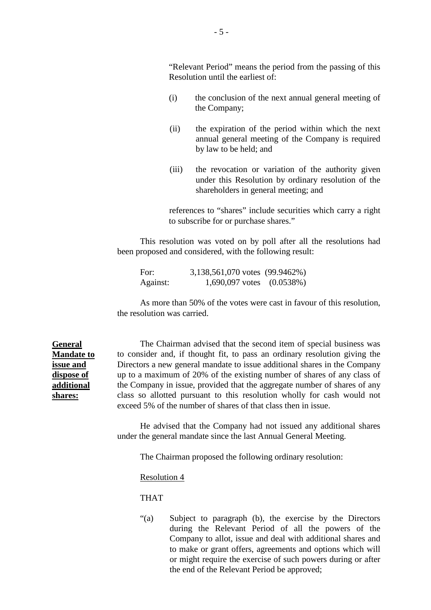"Relevant Period" means the period from the passing of this Resolution until the earliest of:

- (i) the conclusion of the next annual general meeting of the Company;
- (ii) the expiration of the period within which the next annual general meeting of the Company is required by law to be held; and
- (iii) the revocation or variation of the authority given under this Resolution by ordinary resolution of the shareholders in general meeting; and

references to "shares" include securities which carry a right to subscribe for or purchase shares."

This resolution was voted on by poll after all the resolutions had been proposed and considered, with the following result:

For: 3,138,561,070 votes (99.9462%) Against: 1,690,097 votes (0.0538%)

As more than 50% of the votes were cast in favour of this resolution, the resolution was carried.

The Chairman advised that the second item of special business was to consider and, if thought fit, to pass an ordinary resolution giving the Directors a new general mandate to issue additional shares in the Company up to a maximum of 20% of the existing number of shares of any class of the Company in issue, provided that the aggregate number of shares of any class so allotted pursuant to this resolution wholly for cash would not exceed 5% of the number of shares of that class then in issue.

He advised that the Company had not issued any additional shares under the general mandate since the last Annual General Meeting.

The Chairman proposed the following ordinary resolution:

## Resolution 4

## THAT

"(a) Subject to paragraph (b), the exercise by the Directors during the Relevant Period of all the powers of the Company to allot, issue and deal with additional shares and to make or grant offers, agreements and options which will or might require the exercise of such powers during or after the end of the Relevant Period be approved;

**General Mandate to issue and dispose of additional shares:**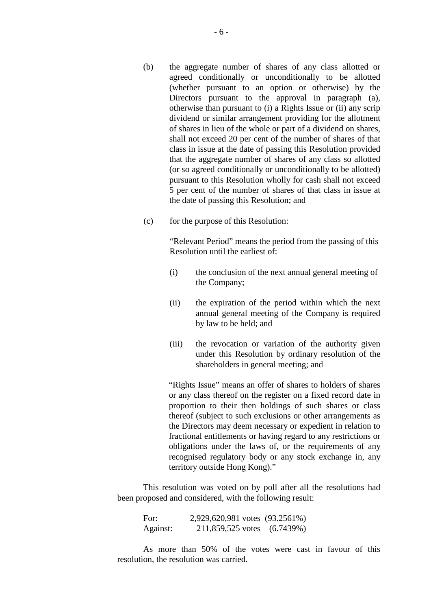- (b) the aggregate number of shares of any class allotted or agreed conditionally or unconditionally to be allotted (whether pursuant to an option or otherwise) by the Directors pursuant to the approval in paragraph (a), otherwise than pursuant to (i) a Rights Issue or (ii) any scrip dividend or similar arrangement providing for the allotment of shares in lieu of the whole or part of a dividend on shares, shall not exceed 20 per cent of the number of shares of that class in issue at the date of passing this Resolution provided that the aggregate number of shares of any class so allotted (or so agreed conditionally or unconditionally to be allotted) pursuant to this Resolution wholly for cash shall not exceed 5 per cent of the number of shares of that class in issue at the date of passing this Resolution; and
- (c) for the purpose of this Resolution:

"Relevant Period" means the period from the passing of this Resolution until the earliest of:

- (i) the conclusion of the next annual general meeting of the Company;
- (ii) the expiration of the period within which the next annual general meeting of the Company is required by law to be held; and
- (iii) the revocation or variation of the authority given under this Resolution by ordinary resolution of the shareholders in general meeting; and

"Rights Issue" means an offer of shares to holders of shares or any class thereof on the register on a fixed record date in proportion to their then holdings of such shares or class thereof (subject to such exclusions or other arrangements as the Directors may deem necessary or expedient in relation to fractional entitlements or having regard to any restrictions or obligations under the laws of, or the requirements of any recognised regulatory body or any stock exchange in, any territory outside Hong Kong)."

This resolution was voted on by poll after all the resolutions had been proposed and considered, with the following result:

For: 2,929,620,981 votes (93.2561%) Against: 211,859,525 votes (6.7439%)

As more than 50% of the votes were cast in favour of this resolution, the resolution was carried.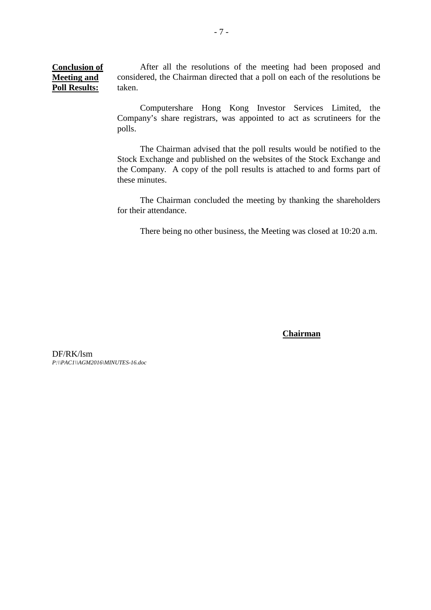**Conclusion of Meeting and Poll Results:** After all the resolutions of the meeting had been proposed and considered, the Chairman directed that a poll on each of the resolutions be taken.

> Computershare Hong Kong Investor Services Limited, the Company's share registrars, was appointed to act as scrutineers for the polls.

> The Chairman advised that the poll results would be notified to the Stock Exchange and published on the websites of the Stock Exchange and the Company. A copy of the poll results is attached to and forms part of these minutes.

> The Chairman concluded the meeting by thanking the shareholders for their attendance.

There being no other business, the Meeting was closed at 10:20 a.m.

**Chairman**

DF/RK/lsm *P:\\PAC1\\AGM2016\MINUTES-16.doc*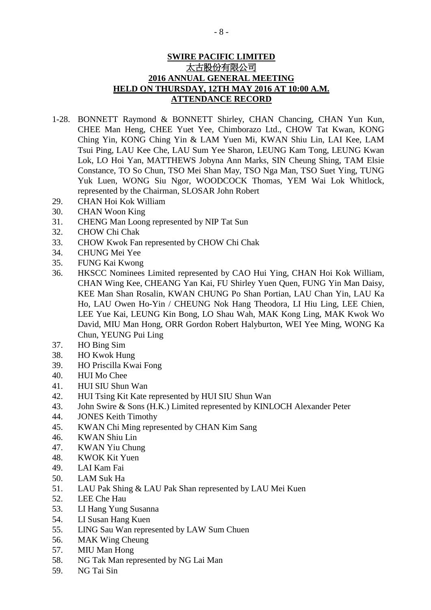## **SWIRE PACIFIC LIMITED** 太古股份有限公司 **2016 ANNUAL GENERAL MEETING HELD ON THURSDAY, 12TH MAY 2016 AT 10:00 A.M. ATTENDANCE RECORD**

- 1-28. BONNETT Raymond & BONNETT Shirley, CHAN Chancing, CHAN Yun Kun, CHEE Man Heng, CHEE Yuet Yee, Chimborazo Ltd., CHOW Tat Kwan, KONG Ching Yin, KONG Ching Yin & LAM Yuen Mi, KWAN Shiu Lin, LAI Kee, LAM Tsui Ping, LAU Kee Che, LAU Sum Yee Sharon, LEUNG Kam Tong, LEUNG Kwan Lok, LO Hoi Yan, MATTHEWS Jobyna Ann Marks, SIN Cheung Shing, TAM Elsie Constance, TO So Chun, TSO Mei Shan May, TSO Nga Man, TSO Suet Ying, TUNG Yuk Luen, WONG Siu Ngor, WOODCOCK Thomas, YEM Wai Lok Whitlock, represented by the Chairman, SLOSAR John Robert
- 29. CHAN Hoi Kok William
- 30. CHAN Woon King
- 31. CHENG Man Loong represented by NIP Tat Sun
- 32. CHOW Chi Chak
- 33. CHOW Kwok Fan represented by CHOW Chi Chak
- 34. CHUNG Mei Yee
- 35. FUNG Kai Kwong
- 36. HKSCC Nominees Limited represented by CAO Hui Ying, CHAN Hoi Kok William, CHAN Wing Kee, CHEANG Yan Kai, FU Shirley Yuen Quen, FUNG Yin Man Daisy, KEE Man Shan Rosalin, KWAN CHUNG Po Shan Portian, LAU Chan Yin, LAU Ka Ho, LAU Owen Ho-Yin / CHEUNG Nok Hang Theodora, LI Hiu Ling, LEE Chien, LEE Yue Kai, LEUNG Kin Bong, LO Shau Wah, MAK Kong Ling, MAK Kwok Wo David, MIU Man Hong, ORR Gordon Robert Halyburton, WEI Yee Ming, WONG Ka Chun, YEUNG Pui Ling
- 37. HO Bing Sim
- 38. HO Kwok Hung
- 39. HO Priscilla Kwai Fong
- 40. HUI Mo Chee
- 41. HUI SIU Shun Wan
- 42. HUI Tsing Kit Kate represented by HUI SIU Shun Wan
- 43. John Swire & Sons (H.K.) Limited represented by KINLOCH Alexander Peter
- 44. JONES Keith Timothy
- 45. KWAN Chi Ming represented by CHAN Kim Sang
- 46. KWAN Shiu Lin
- 47. KWAN Yiu Chung
- 48. KWOK Kit Yuen
- 49. LAI Kam Fai
- 50. LAM Suk Ha
- 51. LAU Pak Shing & LAU Pak Shan represented by LAU Mei Kuen
- 52. LEE Che Hau
- 53. LI Hang Yung Susanna
- 54. LI Susan Hang Kuen
- 55. LING Sau Wan represented by LAW Sum Chuen
- 56. MAK Wing Cheung
- 57. MIU Man Hong
- 58. NG Tak Man represented by NG Lai Man
- 59. NG Tai Sin